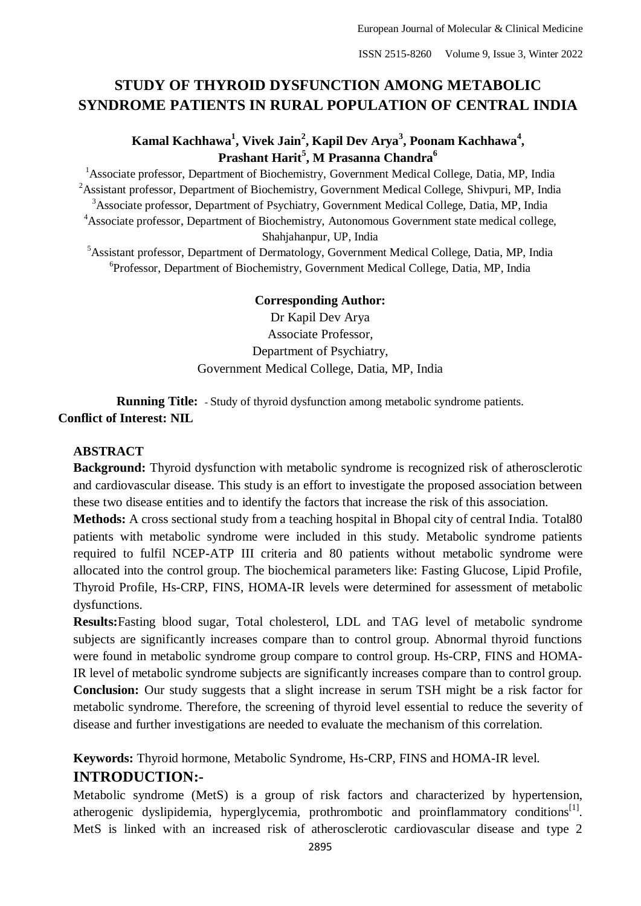# **STUDY OF THYROID DYSFUNCTION AMONG METABOLIC SYNDROME PATIENTS IN RURAL POPULATION OF CENTRAL INDIA**

# **Kamal Kachhawa<sup>1</sup> , Vivek Jain<sup>2</sup> , Kapil Dev Arya<sup>3</sup> , Poonam Kachhawa<sup>4</sup> , Prashant Harit<sup>5</sup> , M Prasanna Chandra<sup>6</sup>**

<sup>1</sup> Associate professor, Department of Biochemistry, Government Medical College, Datia, MP, India  $2A$ ssistant professor, Department of Biochemistry, Government Medical College, Shivpuri, MP, India <sup>3</sup>Associate professor, Department of Psychiatry, Government Medical College, Datia, MP, India <sup>4</sup>Associate professor, Department of Biochemistry, Autonomous Government state medical college, Shahjahanpur, UP, India

<sup>5</sup>Assistant professor, Department of Dermatology, Government Medical College, Datia, MP, India 6 Professor, Department of Biochemistry, Government Medical College, Datia, MP, India

### **Corresponding Author:**

Dr Kapil Dev Arya Associate Professor, Department of Psychiatry, Government Medical College, Datia, MP, India

**Running Title:** - Study of thyroid dysfunction among metabolic syndrome patients. **Conflict of Interest: NIL**

## **ABSTRACT**

**Background:** Thyroid dysfunction with metabolic syndrome is recognized risk of atherosclerotic and cardiovascular disease. This study is an effort to investigate the proposed association between these two disease entities and to identify the factors that increase the risk of this association.

**Methods:** A cross sectional study from a teaching hospital in Bhopal city of central India. Total80 patients with metabolic syndrome were included in this study. Metabolic syndrome patients required to fulfil NCEP-ATP III criteria and 80 patients without metabolic syndrome were allocated into the control group. The biochemical parameters like: Fasting Glucose, Lipid Profile, Thyroid Profile, Hs-CRP, FINS, HOMA-IR levels were determined for assessment of metabolic dysfunctions.

**Results:**Fasting blood sugar, Total cholesterol, LDL and TAG level of metabolic syndrome subjects are significantly increases compare than to control group. Abnormal thyroid functions were found in metabolic syndrome group compare to control group. Hs-CRP, FINS and HOMA-IR level of metabolic syndrome subjects are significantly increases compare than to control group. **Conclusion:** Our study suggests that a slight increase in serum TSH might be a risk factor for metabolic syndrome. Therefore, the screening of thyroid level essential to reduce the severity of disease and further investigations are needed to evaluate the mechanism of this correlation.

# **Keywords:** Thyroid hormone, Metabolic Syndrome, Hs-CRP, FINS and HOMA-IR level. **INTRODUCTION:-**

Metabolic syndrome (MetS) is a group of risk factors and characterized by hypertension, atherogenic dyslipidemia, hyperglycemia, prothrombotic and proinflammatory conditions<sup>[1]</sup>. MetS is linked with an increased risk of atherosclerotic cardiovascular disease and type 2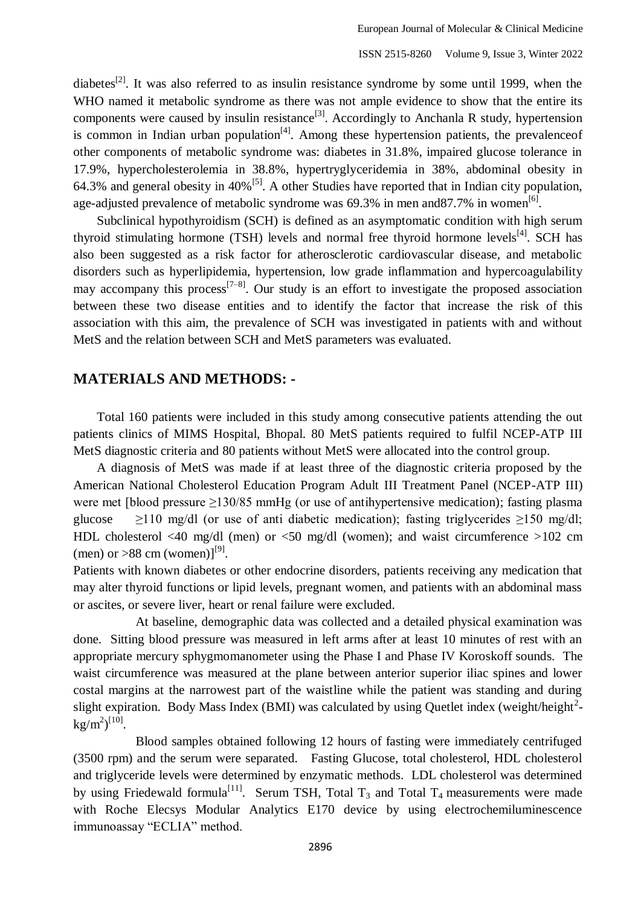diabetes<sup>[2]</sup>. It was also referred to as insulin resistance syndrome by some until 1999, when the WHO named it metabolic syndrome as there was not ample evidence to show that the entire its components were caused by insulin resistance<sup>[3]</sup>. Accordingly to Anchanla R study, hypertension is common in Indian urban population $^{[4]}$ . Among these hypertension patients, the prevalence of other components of metabolic syndrome was: diabetes in 31.8%, impaired glucose tolerance in 17.9%, hypercholesterolemia in 38.8%, hypertryglyceridemia in 38%, abdominal obesity in 64.3% and general obesity in  $40\%$ <sup>[5]</sup>. A other Studies have reported that in Indian city population, age-adjusted prevalence of metabolic syndrome was 69.3% in men and 87.7% in women<sup>[6]</sup>.

Subclinical hypothyroidism (SCH) is defined as an asymptomatic condition with high serum thyroid stimulating hormone (TSH) levels and normal free thyroid hormone levels<sup>[4]</sup>. SCH has also been suggested as a risk factor for atherosclerotic cardiovascular disease, and metabolic disorders such as hyperlipidemia, hypertension, low grade inflammation and hypercoagulability may accompany this process<sup>[7–8]</sup>. Our study is an effort to investigate the proposed association between these two disease entities and to identify the factor that increase the risk of this association with this aim, the prevalence of SCH was investigated in patients with and without MetS and the relation between SCH and MetS parameters was evaluated.

### **MATERIALS AND METHODS: -**

Total 160 patients were included in this study among consecutive patients attending the out patients clinics of MIMS Hospital, Bhopal. 80 MetS patients required to fulfil NCEP-ATP III MetS diagnostic criteria and 80 patients without MetS were allocated into the control group.

A diagnosis of MetS was made if at least three of the diagnostic criteria proposed by the American National Cholesterol Education Program Adult III Treatment Panel (NCEP-ATP III) were met [blood pressure >130/85 mmHg (or use of antihypertensive medication); fasting plasma glucose  $\geq$ 110 mg/dl (or use of anti diabetic medication); fasting triglycerides  $\geq$ 150 mg/dl; HDL cholesterol <40 mg/dl (men) or <50 mg/dl (women); and waist circumference >102 cm (men) or  $>88$  cm (women)]<sup>[9]</sup>.

Patients with known diabetes or other endocrine disorders, patients receiving any medication that may alter thyroid functions or lipid levels, pregnant women, and patients with an abdominal mass or ascites, or severe liver, heart or renal failure were excluded.

At baseline, demographic data was collected and a detailed physical examination was done. Sitting blood pressure was measured in left arms after at least 10 minutes of rest with an appropriate mercury sphygmomanometer using the Phase I and Phase IV Koroskoff sounds. The waist circumference was measured at the plane between anterior superior iliac spines and lower costal margins at the narrowest part of the waistline while the patient was standing and during slight expiration. Body Mass Index (BMI) was calculated by using Quetlet index (weight/height $^{2}$ - $\text{kg/m}^2$ <sup>[10]</sup>.

Blood samples obtained following 12 hours of fasting were immediately centrifuged (3500 rpm) and the serum were separated. Fasting Glucose, total cholesterol, HDL cholesterol and triglyceride levels were determined by enzymatic methods. LDL cholesterol was determined by using Friedewald formula<sup>[11]</sup>. Serum TSH, Total  $T_3$  and Total  $T_4$  measurements were made with Roche Elecsys Modular Analytics E170 device by using electrochemiluminescence immunoassay "ECLIA" method.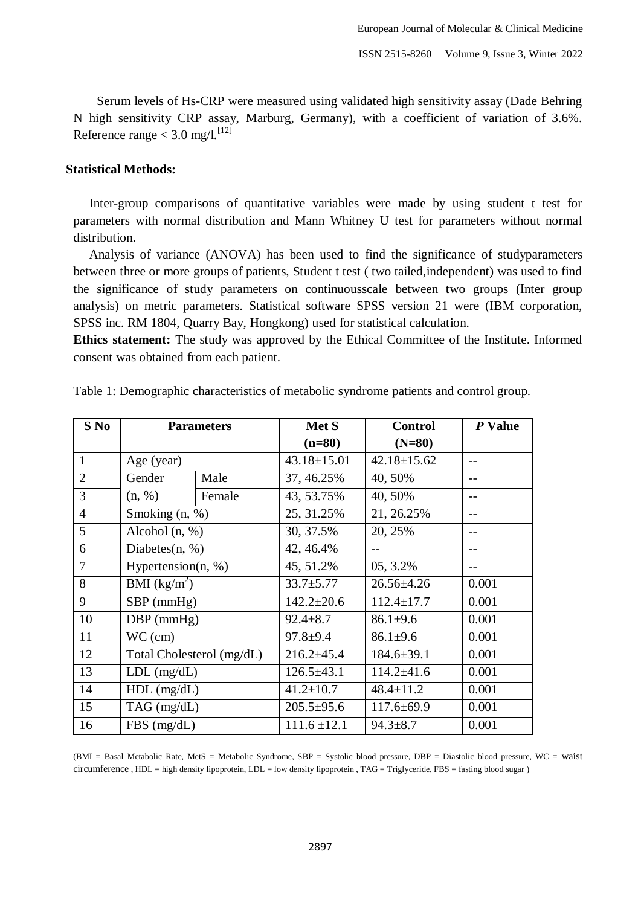Serum levels of Hs-CRP were measured using validated high sensitivity assay (Dade Behring N high sensitivity CRP assay, Marburg, Germany), with a coefficient of variation of 3.6%. Reference range  $<$  3.0 mg/l.<sup>[12]</sup>

### **Statistical Methods:**

Inter-group comparisons of quantitative variables were made by using student t test for parameters with normal distribution and Mann Whitney U test for parameters without normal distribution.

Analysis of variance (ANOVA) has been used to find the significance of studyparameters between three or more groups of patients, Student t test ( two tailed,independent) was used to find the significance of study parameters on continuousscale between two groups (Inter group analysis) on metric parameters. Statistical software SPSS version 21 were (IBM corporation, SPSS inc. RM 1804, Quarry Bay, Hongkong) used for statistical calculation.

**Ethics statement:** The study was approved by the Ethical Committee of the Institute. Informed consent was obtained from each patient.

| $S$ No         | <b>Parameters</b>         |        | Met S             | <b>Control</b>    | P Value |
|----------------|---------------------------|--------|-------------------|-------------------|---------|
|                |                           |        | $(n=80)$          | $(N=80)$          |         |
| $\mathbf{1}$   | Age (year)                |        | $43.18 \pm 15.01$ | $42.18 \pm 15.62$ |         |
| $\overline{2}$ | Gender                    | Male   | 37, 46.25%        | 40, 50%           |         |
| 3              | (n, %)                    | Female | 43, 53.75%        | 40, 50%           |         |
| $\overline{4}$ | Smoking (n, %)            |        | 25, 31.25%        | 21, 26.25%        |         |
| 5              | Alcohol $(n, %)$          |        | 30, 37.5%         | 20, 25%           |         |
| 6              | Diabetes $(n, %)$         |        | 42, 46.4%         |                   |         |
| 7              | Hypertension $(n, %)$     |        | 45, 51.2%         | 05, 3.2%          |         |
| 8              | BMI $(kg/m^2)$            |        | $33.7 + 5.77$     | $26.56 \pm 4.26$  | 0.001   |
| 9              | $SBP$ (mmHg)              |        | $142.2 \pm 20.6$  | $112.4 \pm 17.7$  | 0.001   |
| 10             | $DBP$ (mmHg)              |        | $92.4 \pm 8.7$    | $86.1 \pm 9.6$    | 0.001   |
| 11             | $WC$ (cm)                 |        | $97.8 + 9.4$      | $86.1 \pm 9.6$    | 0.001   |
| 12             | Total Cholesterol (mg/dL) |        | $216.2 \pm 45.4$  | $184.6 \pm 39.1$  | 0.001   |
| 13             | $LDL$ (mg/dL)             |        | $126.5 \pm 43.1$  | $114.2 \pm 41.6$  | 0.001   |
| 14             | $HDL$ (mg/dL)             |        | $41.2 \pm 10.7$   | $48.4 \pm 11.2$   | 0.001   |
| 15             | $TAG$ (mg/dL)             |        | $205.5 \pm 95.6$  | $117.6 \pm 69.9$  | 0.001   |
| 16             | $FBS$ (mg/dL)             |        | $111.6 \pm 12.1$  | $94.3 \pm 8.7$    | 0.001   |

Table 1: Demographic characteristics of metabolic syndrome patients and control group.

(BMI = Basal Metabolic Rate, MetS = Metabolic Syndrome, SBP = Systolic blood pressure, DBP = Diastolic blood pressure, WC = waist circumference , HDL = high density lipoprotein, LDL = low density lipoprotein , TAG = Triglyceride, FBS = fasting blood sugar )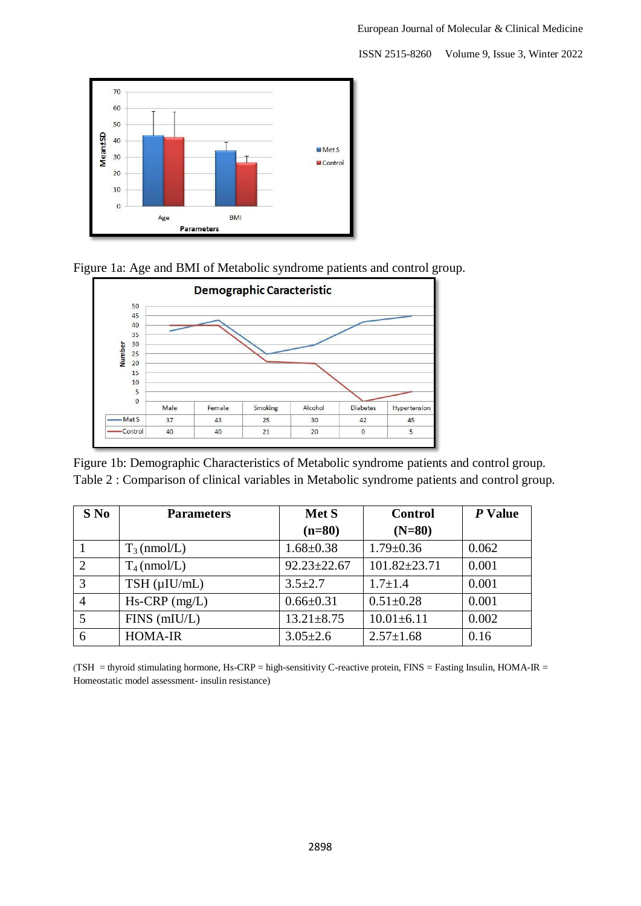

Figure 1a: Age and BMI of Metabolic syndrome patients and control group.



Figure 1b: Demographic Characteristics of Metabolic syndrome patients and control group. Table 2 : Comparison of clinical variables in Metabolic syndrome patients and control group.

| $S$ No | <b>Parameters</b>    | Met S             | <b>Control</b>     | P Value |
|--------|----------------------|-------------------|--------------------|---------|
|        |                      | $(n=80)$          | $(N=80)$           |         |
|        | $T_3$ (nmol/L)       | $1.68 \pm 0.38$   | $1.79 \pm 0.36$    | 0.062   |
| 2      | $T_4$ (nmol/L)       | $92.23 \pm 22.67$ | $101.82 \pm 23.71$ | 0.001   |
| 3      | $TSH$ ( $\mu$ IU/mL) | $3.5 \pm 2.7$     | $1.7 \pm 1.4$      | 0.001   |
| 4      | $Hs-CRP$ (mg/L)      | $0.66 \pm 0.31$   | $0.51 \pm 0.28$    | 0.001   |
| 5      | $FINS$ (mIU/L)       | $13.21 \pm 8.75$  | $10.01 \pm 6.11$   | 0.002   |
| 6      | <b>HOMA-IR</b>       | $3.05 \pm 2.6$    | $2.57 \pm 1.68$    | 0.16    |

(TSH = thyroid stimulating hormone, Hs-CRP = high-sensitivity C-reactive protein, FINS = Fasting Insulin, HOMA-IR = Homeostatic model assessment- insulin resistance)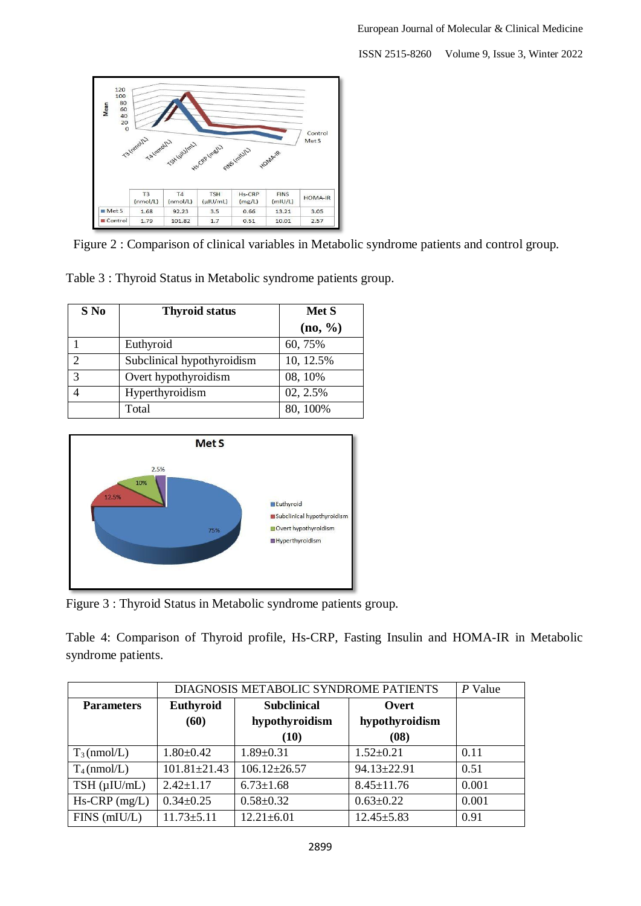

Figure 2 : Comparison of clinical variables in Metabolic syndrome patients and control group.

Table 3 : Thyroid Status in Metabolic syndrome patients group.

| S No                        | <b>Thyroid status</b>      | Met S      |  |
|-----------------------------|----------------------------|------------|--|
|                             |                            | $(no, \%)$ |  |
|                             | Euthyroid                  | 60, 75%    |  |
| $\mathcal{D}_{\mathcal{L}}$ | Subclinical hypothyroidism | 10, 12.5%  |  |
| 3                           | Overt hypothyroidism       | 08, 10%    |  |
|                             | Hyperthyroidism            | 02, 2.5%   |  |
|                             | Total                      | 80, 100%   |  |



Figure 3 : Thyroid Status in Metabolic syndrome patients group.

Table 4: Comparison of Thyroid profile, Hs-CRP, Fasting Insulin and HOMA-IR in Metabolic syndrome patients.

|                      | DIAGNOSIS METABOLIC SYNDROME PATIENTS |                    |                  | $P$ Value |
|----------------------|---------------------------------------|--------------------|------------------|-----------|
| <b>Parameters</b>    | Euthyroid                             | <b>Subclinical</b> | Overt            |           |
|                      | (60)                                  | hypothyroidism     | hypothyroidism   |           |
|                      |                                       | (10)               | (08)             |           |
| $T_3$ (nmol/L)       | $1.80 \pm 0.42$                       | $1.89 \pm 0.31$    | $1.52 \pm 0.21$  | 0.11      |
| $T_4$ (nmol/L)       | $101.81 \pm 21.43$                    | $106.12 \pm 26.57$ | 94.13±22.91      | 0.51      |
| $TSH$ ( $\mu$ IU/mL) | $2.42 \pm 1.17$                       | $6.73 \pm 1.68$    | $8.45 \pm 11.76$ | 0.001     |
| $Hs-CRP$ (mg/L)      | $0.34 \pm 0.25$                       | $0.58 \pm 0.32$    | $0.63 \pm 0.22$  | 0.001     |
| $FINS$ (mIU/L)       | $11.73 \pm 5.11$                      | $12.21 \pm 6.01$   | $12.45 \pm 5.83$ | 0.91      |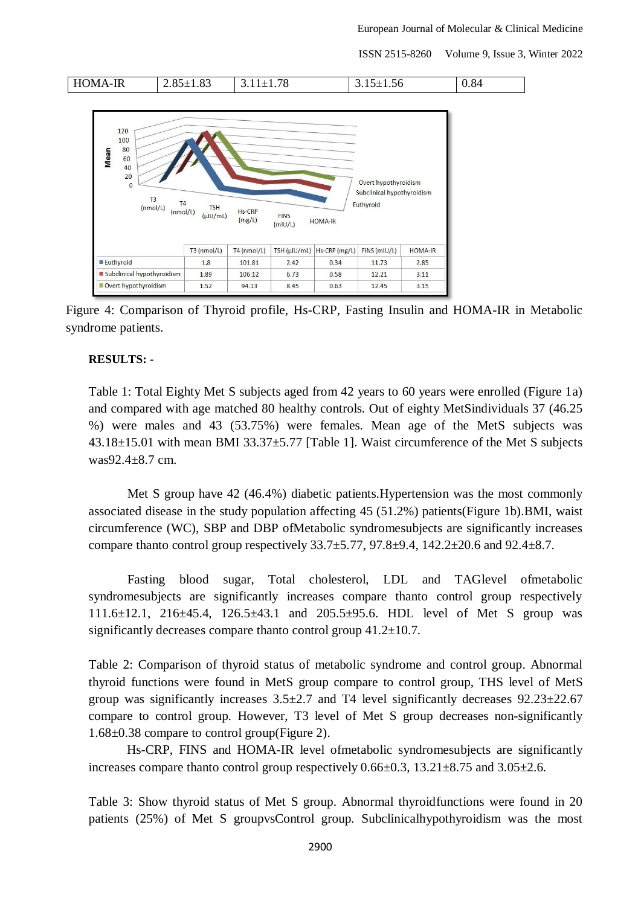

Figure 4: Comparison of Thyroid profile, Hs-CRP, Fasting Insulin and HOMA-IR in Metabolic syndrome patients.

#### **RESULTS: -**

Table 1: Total Eighty Met S subjects aged from 42 years to 60 years were enrolled (Figure 1a) and compared with age matched 80 healthy controls. Out of eighty MetSindividuals 37 (46.25 %) were males and 43 (53.75%) were females. Mean age of the MetS subjects was 43.18±15.01 with mean BMI 33.37±5.77 [Table 1]. Waist circumference of the Met S subjects was92.4±8.7 cm.

Met S group have 42 (46.4%) diabetic patients.Hypertension was the most commonly associated disease in the study population affecting 45 (51.2%) patients(Figure 1b).BMI, waist circumference (WC), SBP and DBP ofMetabolic syndromesubjects are significantly increases compare thanto control group respectively  $33.7\pm 5.77$ ,  $97.8\pm 9.4$ ,  $142.2\pm 20.6$  and  $92.4\pm 8.7$ .

Fasting blood sugar, Total cholesterol, LDL and TAGlevel ofmetabolic syndromesubjects are significantly increases compare thanto control group respectively 111.6±12.1, 216±45.4, 126.5±43.1 and 205.5±95.6. HDL level of Met S group was significantly decreases compare thanto control group 41.2±10.7.

Table 2: Comparison of thyroid status of metabolic syndrome and control group. Abnormal thyroid functions were found in MetS group compare to control group, THS level of MetS group was significantly increases  $3.5\pm2.7$  and T4 level significantly decreases  $92.23\pm22.67$ compare to control group. However, T3 level of Met S group decreases non-significantly 1.68±0.38 compare to control group(Figure 2).

Hs-CRP, FINS and HOMA-IR level ofmetabolic syndromesubjects are significantly increases compare thanto control group respectively 0.66±0.3, 13.21±8.75 and 3.05±2.6.

Table 3: Show thyroid status of Met S group. Abnormal thyroidfunctions were found in 20 patients (25%) of Met S groupvsControl group. Subclinicalhypothyroidism was the most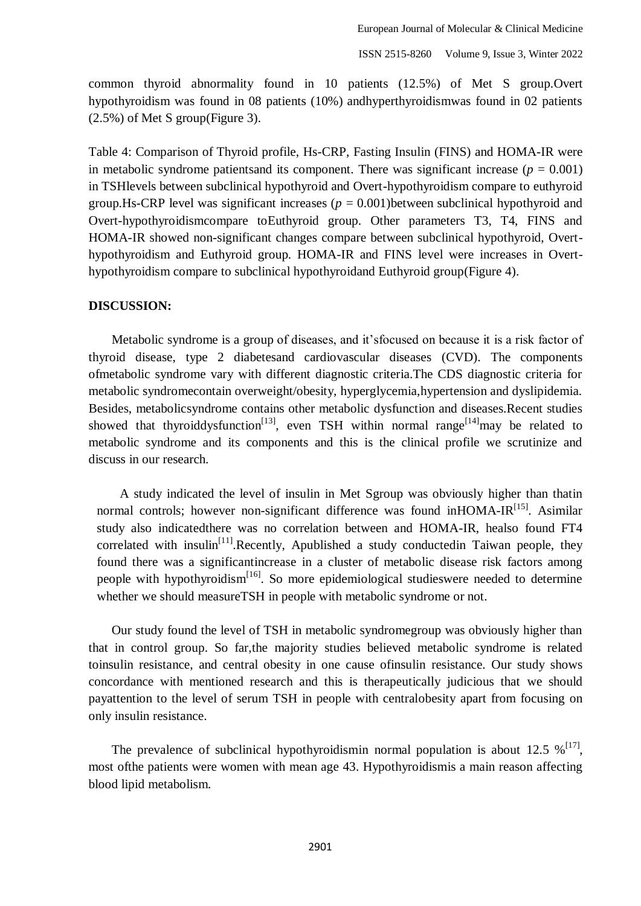common thyroid abnormality found in 10 patients (12.5%) of Met S group.Overt hypothyroidism was found in 08 patients (10%) andhyperthyroidismwas found in 02 patients (2.5%) of Met S group(Figure 3).

Table 4: Comparison of Thyroid profile, Hs-CRP, Fasting Insulin (FINS) and HOMA-IR were in metabolic syndrome patients and its component. There was significant increase ( $p = 0.001$ ) in TSHlevels between subclinical hypothyroid and Overt-hypothyroidism compare to euthyroid group.Hs-CRP level was significant increases  $(p = 0.001)$  between subclinical hypothyroid and Overt-hypothyroidismcompare toEuthyroid group. Other parameters T3, T4, FINS and HOMA-IR showed non-significant changes compare between subclinical hypothyroid, Overthypothyroidism and Euthyroid group. HOMA-IR and FINS level were increases in Overthypothyroidism compare to subclinical hypothyroidand Euthyroid group(Figure 4).

#### **DISCUSSION:**

Metabolic syndrome is a group of diseases, and it'sfocused on because it is a risk factor of thyroid disease, type 2 diabetesand cardiovascular diseases (CVD). The components ofmetabolic syndrome vary with different diagnostic criteria.The CDS diagnostic criteria for metabolic syndromecontain overweight/obesity, hyperglycemia,hypertension and dyslipidemia. Besides, metabolicsyndrome contains other metabolic dysfunction and diseases.Recent studies showed that thyroiddysfunction<sup>[13]</sup>, even TSH within normal range<sup>[14]</sup>may be related to metabolic syndrome and its components and this is the clinical profile we scrutinize and discuss in our research.

A study indicated the level of insulin in Met Sgroup was obviously higher than thatin normal controls; however non-significant difference was found inHOMA-IR<sup>[15]</sup>. Asimilar study also indicatedthere was no correlation between and HOMA-IR, healso found FT4 correlated with insulin<sup>[11]</sup>.Recently, Apublished a study conducted in Taiwan people, they found there was a significantincrease in a cluster of metabolic disease risk factors among people with hypothyroidism<sup>[16]</sup>. So more epidemiological studieswere needed to determine whether we should measureTSH in people with metabolic syndrome or not.

Our study found the level of TSH in metabolic syndromegroup was obviously higher than that in control group. So far,the majority studies believed metabolic syndrome is related toinsulin resistance, and central obesity in one cause ofinsulin resistance. Our study shows concordance with mentioned research and this is therapeutically judicious that we should payattention to the level of serum TSH in people with centralobesity apart from focusing on only insulin resistance.

The prevalence of subclinical hypothyroidismin normal population is about 12.5  $\%$ <sup>[17]</sup>, most ofthe patients were women with mean age 43. Hypothyroidismis a main reason affecting blood lipid metabolism.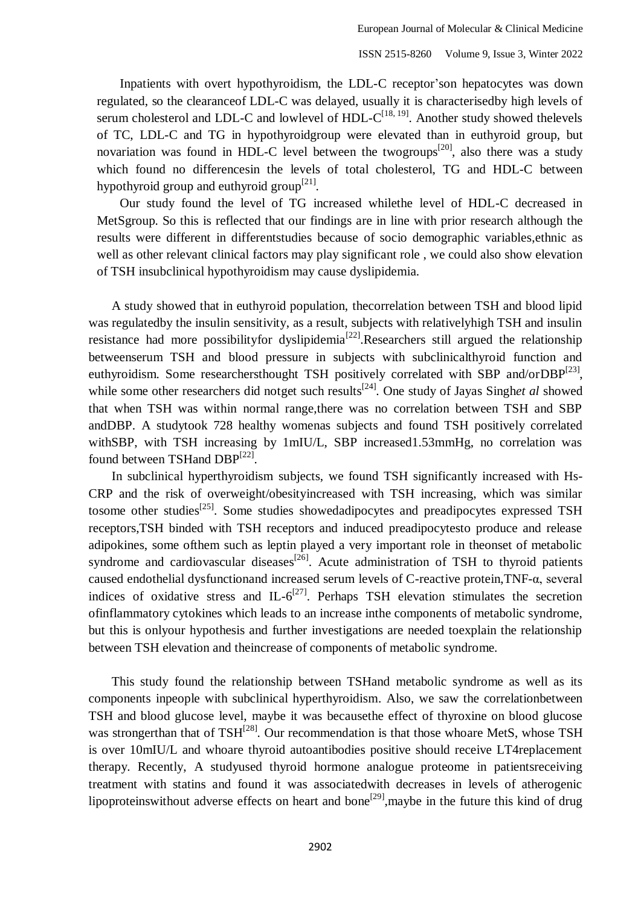Inpatients with overt hypothyroidism, the LDL-C receptor'son hepatocytes was down regulated, so the clearanceof LDL-C was delayed, usually it is characterisedby high levels of serum cholesterol and LDL-C and lowlevel of  $HDL-C^{[18, 19]}$ . Another study showed thelevels of TC, LDL-C and TG in hypothyroidgroup were elevated than in euthyroid group, but novariation was found in HDL-C level between the two groups<sup>[20]</sup>, also there was a study which found no differencesin the levels of total cholesterol, TG and HDL-C between hypothyroid group and euthyroid group $[21]$ .

Our study found the level of TG increased whilethe level of HDL-C decreased in MetSgroup. So this is reflected that our findings are in line with prior research although the results were different in differentstudies because of socio demographic variables,ethnic as well as other relevant clinical factors may play significant role , we could also show elevation of TSH insubclinical hypothyroidism may cause dyslipidemia.

A study showed that in euthyroid population, thecorrelation between TSH and blood lipid was regulatedby the insulin sensitivity, as a result, subjects with relativelyhigh TSH and insulin resistance had more possibility for dyslipidemia<sup>[22]</sup>. Researchers still argued the relationship betweenserum TSH and blood pressure in subjects with subclinicalthyroid function and euthyroidism. Some researchersthought TSH positively correlated with SBP and/orDBP $^{[23]}$ , while some other researchers did notget such results<sup>[24]</sup>. One study of Jayas Singhet al showed that when TSH was within normal range,there was no correlation between TSH and SBP andDBP. A studytook 728 healthy womenas subjects and found TSH positively correlated withSBP, with TSH increasing by 1mIU/L, SBP increased1.53mmHg, no correlation was found between TSHand DBP<sup>[22]</sup>.

In subclinical hyperthyroidism subjects, we found TSH significantly increased with Hs-CRP and the risk of overweight/obesityincreased with TSH increasing, which was similar tosome other studies<sup>[25]</sup>. Some studies showedadipocytes and preadipocytes expressed TSH receptors,TSH binded with TSH receptors and induced preadipocytesto produce and release adipokines, some ofthem such as leptin played a very important role in theonset of metabolic syndrome and cardiovascular diseases<sup>[26]</sup>. Acute administration of TSH to thyroid patients caused endothelial dysfunctionand increased serum levels of C-reactive protein,TNF-α, several indices of oxidative stress and IL- $6^{[27]}$ . Perhaps TSH elevation stimulates the secretion ofinflammatory cytokines which leads to an increase inthe components of metabolic syndrome, but this is onlyour hypothesis and further investigations are needed toexplain the relationship between TSH elevation and theincrease of components of metabolic syndrome.

This study found the relationship between TSHand metabolic syndrome as well as its components inpeople with subclinical hyperthyroidism. Also, we saw the correlationbetween TSH and blood glucose level, maybe it was becausethe effect of thyroxine on blood glucose was strongerthan that of TSH<sup>[28]</sup>. Our recommendation is that those whoare MetS, whose TSH is over 10mIU/L and whoare thyroid autoantibodies positive should receive LT4replacement therapy. Recently, A studyused thyroid hormone analogue proteome in patientsreceiving treatment with statins and found it was associatedwith decreases in levels of atherogenic lipoproteinswithout adverse effects on heart and bone<sup>[29]</sup>, maybe in the future this kind of drug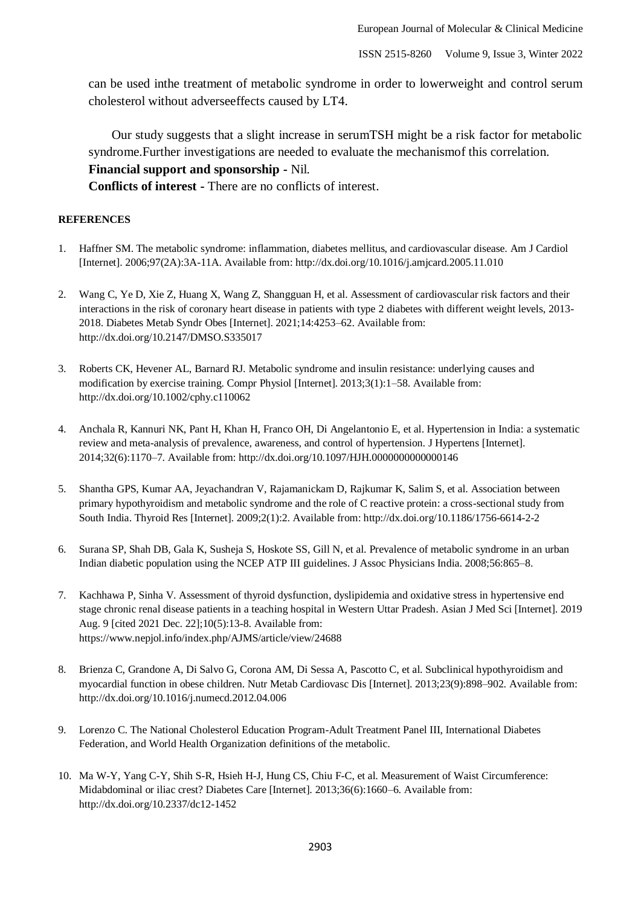can be used inthe treatment of metabolic syndrome in order to lowerweight and control serum cholesterol without adverseeffects caused by LT4.

Our study suggests that a slight increase in serumTSH might be a risk factor for metabolic syndrome.Further investigations are needed to evaluate the mechanismof this correlation. **Financial support and sponsorship -** Nil.

**Conflicts of interest -** There are no conflicts of interest.

#### **REFERENCES**

- 1. Haffner SM. The metabolic syndrome: inflammation, diabetes mellitus, and cardiovascular disease. Am J Cardiol [Internet]. 2006;97(2A):3A-11A. Available from: http://dx.doi.org/10.1016/j.amjcard.2005.11.010
- 2. Wang C, Ye D, Xie Z, Huang X, Wang Z, Shangguan H, et al. Assessment of cardiovascular risk factors and their interactions in the risk of coronary heart disease in patients with type 2 diabetes with different weight levels, 2013- 2018. Diabetes Metab Syndr Obes [Internet]. 2021;14:4253–62. Available from: http://dx.doi.org/10.2147/DMSO.S335017
- 3. Roberts CK, Hevener AL, Barnard RJ. Metabolic syndrome and insulin resistance: underlying causes and modification by exercise training. Compr Physiol [Internet]. 2013;3(1):1–58. Available from: http://dx.doi.org/10.1002/cphy.c110062
- 4. Anchala R, Kannuri NK, Pant H, Khan H, Franco OH, Di Angelantonio E, et al. Hypertension in India: a systematic review and meta-analysis of prevalence, awareness, and control of hypertension. J Hypertens [Internet]. 2014;32(6):1170–7. Available from: http://dx.doi.org/10.1097/HJH.0000000000000146
- 5. Shantha GPS, Kumar AA, Jeyachandran V, Rajamanickam D, Rajkumar K, Salim S, et al. Association between primary hypothyroidism and metabolic syndrome and the role of C reactive protein: a cross-sectional study from South India. Thyroid Res [Internet]. 2009;2(1):2. Available from: http://dx.doi.org/10.1186/1756-6614-2-2
- 6. Surana SP, Shah DB, Gala K, Susheja S, Hoskote SS, Gill N, et al. Prevalence of metabolic syndrome in an urban Indian diabetic population using the NCEP ATP III guidelines. J Assoc Physicians India. 2008;56:865–8.
- 7. Kachhawa P, Sinha V. Assessment of thyroid dysfunction, dyslipidemia and oxidative stress in hypertensive end stage chronic renal disease patients in a teaching hospital in Western Uttar Pradesh. Asian J Med Sci [Internet]. 2019 Aug. 9 [cited 2021 Dec. 22];10(5):13-8. Available from: https://www.nepjol.info/index.php/AJMS/article/view/24688
- 8. Brienza C, Grandone A, Di Salvo G, Corona AM, Di Sessa A, Pascotto C, et al. Subclinical hypothyroidism and myocardial function in obese children. Nutr Metab Cardiovasc Dis [Internet]. 2013;23(9):898–902. Available from: http://dx.doi.org/10.1016/j.numecd.2012.04.006
- 9. Lorenzo C. The National Cholesterol Education Program-Adult Treatment Panel III, International Diabetes Federation, and World Health Organization definitions of the metabolic.
- 10. Ma W-Y, Yang C-Y, Shih S-R, Hsieh H-J, Hung CS, Chiu F-C, et al. Measurement of Waist Circumference: Midabdominal or iliac crest? Diabetes Care [Internet]. 2013;36(6):1660–6. Available from: http://dx.doi.org/10.2337/dc12-1452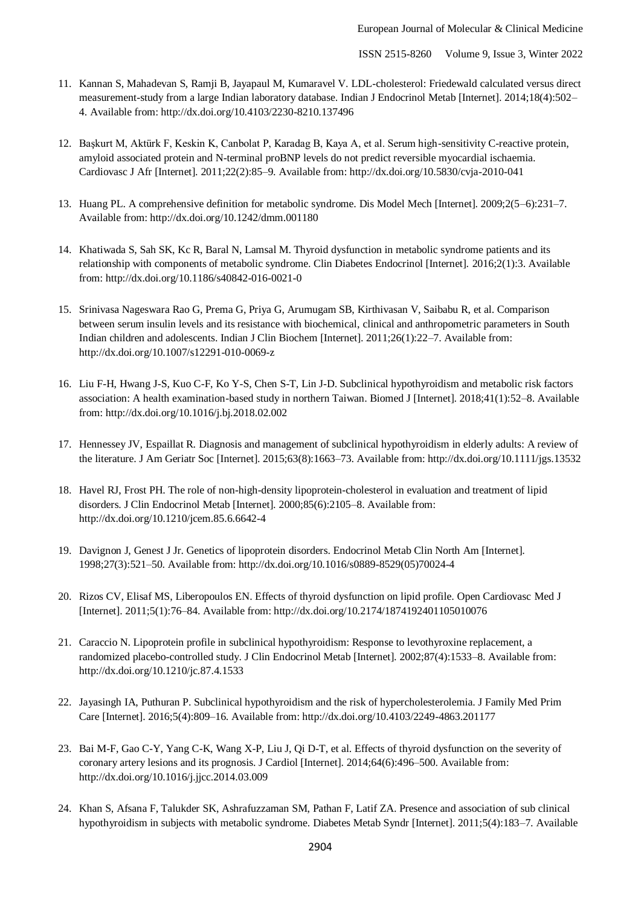- 11. Kannan S, Mahadevan S, Ramji B, Jayapaul M, Kumaravel V. LDL-cholesterol: Friedewald calculated versus direct measurement-study from a large Indian laboratory database. Indian J Endocrinol Metab [Internet]. 2014;18(4):502-4. Available from: http://dx.doi.org/10.4103/2230-8210.137496
- 12. Başkurt M, Aktürk F, Keskin K, Canbolat P, Karadag B, Kaya A, et al. Serum high-sensitivity C-reactive protein, amyloid associated protein and N-terminal proBNP levels do not predict reversible myocardial ischaemia. Cardiovasc J Afr [Internet]. 2011;22(2):85–9. Available from: http://dx.doi.org/10.5830/cvja-2010-041
- 13. Huang PL. A comprehensive definition for metabolic syndrome. Dis Model Mech [Internet]. 2009;2(5–6):231–7. Available from: http://dx.doi.org/10.1242/dmm.001180
- 14. Khatiwada S, Sah SK, Kc R, Baral N, Lamsal M. Thyroid dysfunction in metabolic syndrome patients and its relationship with components of metabolic syndrome. Clin Diabetes Endocrinol [Internet]. 2016;2(1):3. Available from: http://dx.doi.org/10.1186/s40842-016-0021-0
- 15. Srinivasa Nageswara Rao G, Prema G, Priya G, Arumugam SB, Kirthivasan V, Saibabu R, et al. Comparison between serum insulin levels and its resistance with biochemical, clinical and anthropometric parameters in South Indian children and adolescents. Indian J Clin Biochem [Internet]. 2011;26(1):22–7. Available from: http://dx.doi.org/10.1007/s12291-010-0069-z
- 16. Liu F-H, Hwang J-S, Kuo C-F, Ko Y-S, Chen S-T, Lin J-D. Subclinical hypothyroidism and metabolic risk factors association: A health examination-based study in northern Taiwan. Biomed J [Internet]. 2018;41(1):52–8. Available from: http://dx.doi.org/10.1016/j.bj.2018.02.002
- 17. Hennessey JV, Espaillat R. Diagnosis and management of subclinical hypothyroidism in elderly adults: A review of the literature. J Am Geriatr Soc [Internet]. 2015;63(8):1663–73. Available from: http://dx.doi.org/10.1111/jgs.13532
- 18. Havel RJ, Frost PH. The role of non-high-density lipoprotein-cholesterol in evaluation and treatment of lipid disorders. J Clin Endocrinol Metab [Internet]. 2000;85(6):2105–8. Available from: http://dx.doi.org/10.1210/jcem.85.6.6642-4
- 19. Davignon J, Genest J Jr. Genetics of lipoprotein disorders. Endocrinol Metab Clin North Am [Internet]. 1998;27(3):521–50. Available from: http://dx.doi.org/10.1016/s0889-8529(05)70024-4
- 20. Rizos CV, Elisaf MS, Liberopoulos EN. Effects of thyroid dysfunction on lipid profile. Open Cardiovasc Med J [Internet]. 2011;5(1):76–84. Available from: http://dx.doi.org/10.2174/1874192401105010076
- 21. Caraccio N. Lipoprotein profile in subclinical hypothyroidism: Response to levothyroxine replacement, a randomized placebo-controlled study. J Clin Endocrinol Metab [Internet]. 2002;87(4):1533–8. Available from: http://dx.doi.org/10.1210/jc.87.4.1533
- 22. Jayasingh IA, Puthuran P. Subclinical hypothyroidism and the risk of hypercholesterolemia. J Family Med Prim Care [Internet]. 2016;5(4):809–16. Available from: http://dx.doi.org/10.4103/2249-4863.201177
- 23. Bai M-F, Gao C-Y, Yang C-K, Wang X-P, Liu J, Qi D-T, et al. Effects of thyroid dysfunction on the severity of coronary artery lesions and its prognosis. J Cardiol [Internet]. 2014;64(6):496–500. Available from: http://dx.doi.org/10.1016/j.jjcc.2014.03.009
- 24. Khan S, Afsana F, Talukder SK, Ashrafuzzaman SM, Pathan F, Latif ZA. Presence and association of sub clinical hypothyroidism in subjects with metabolic syndrome. Diabetes Metab Syndr [Internet]. 2011;5(4):183–7. Available